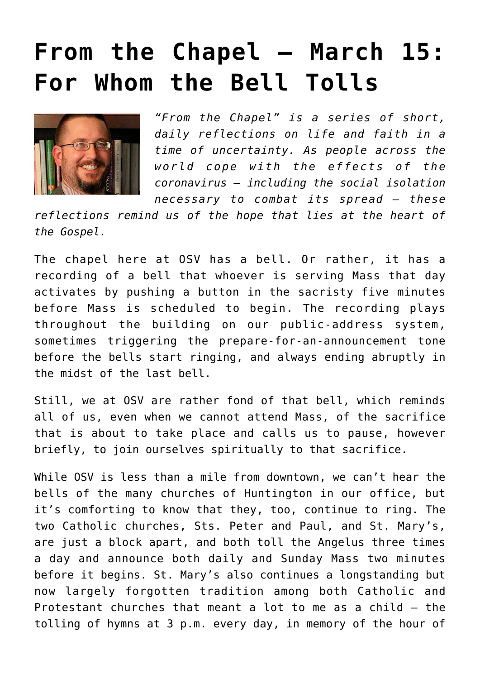## **[From the Chapel — March 15:](https://www.osvnews.com/2020/03/15/from-the-chapel-march-15-for-whom-the-bell-tolls/) [For Whom the Bell Tolls](https://www.osvnews.com/2020/03/15/from-the-chapel-march-15-for-whom-the-bell-tolls/)**



*"From the Chapel" is a series of short, daily reflections on life and faith in a time of uncertainty. As people across the world cope with the effects of the coronavirus — including the social isolation necessary to combat its spread — these*

*reflections remind us of the hope that lies at the heart of the Gospel.*

The chapel here at OSV has a bell. Or rather, it has a recording of a bell that whoever is serving Mass that day activates by pushing a button in the sacristy five minutes before Mass is scheduled to begin. The recording plays throughout the building on our public-address system, sometimes triggering the prepare-for-an-announcement tone before the bells start ringing, and always ending abruptly in the midst of the last bell.

Still, we at OSV are rather fond of that bell, which reminds all of us, even when we cannot attend Mass, of the sacrifice that is about to take place and calls us to pause, however briefly, to join ourselves spiritually to that sacrifice.

While OSV is less than a mile from downtown, we can't hear the bells of the many churches of Huntington in our office, but it's comforting to know that they, too, continue to ring. The two Catholic churches, Sts. Peter and Paul, and St. Mary's, are just a block apart, and both toll the Angelus three times a day and announce both daily and Sunday Mass two minutes before it begins. St. Mary's also continues a longstanding but now largely forgotten tradition among both Catholic and Protestant churches that meant a lot to me as a child — the tolling of hymns at 3 p.m. every day, in memory of the hour of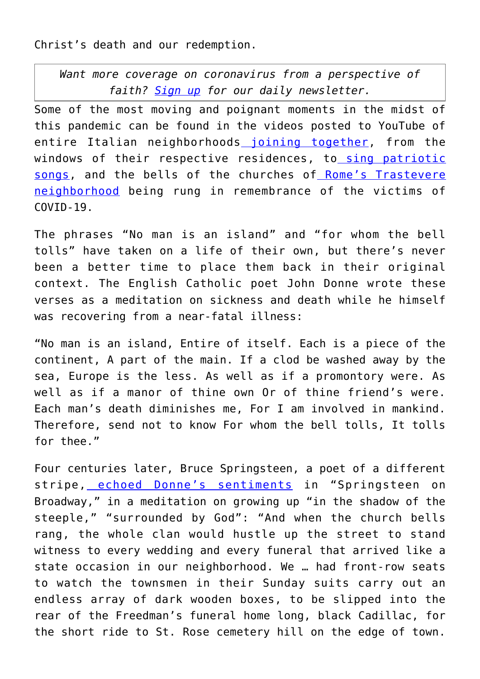Christ's death and our redemption.

*Want more coverage on coronavirus from a perspective of faith? [Sign up](https://reply.osv.com/covid-19) for our daily newsletter.*

Some of the most moving and poignant moments in the midst of this pandemic can be found in the videos posted to YouTube of entire Italian neighborhoods [joining together,](https://www.youtube.com/watch?v=x_rLw6SCSmE) from the windows of their respective residences, to [sing patriotic](https://www.youtube.com/watch?v=MBTx3U6Yp0k) [songs](https://www.youtube.com/watch?v=MBTx3U6Yp0k), and the bells of the churches of [Rome's Trastevere](https://www.youtube.com/watch?v=XMH58c-AZuE) [neighborhood](https://www.youtube.com/watch?v=XMH58c-AZuE) being rung in remembrance of the victims of COVID-19.

The phrases "No man is an island" and "for whom the bell tolls" have taken on a life of their own, but there's never been a better time to place them back in their original context. The English Catholic poet John Donne wrote these verses as a meditation on sickness and death while he himself was recovering from a near-fatal illness:

"No man is an island, Entire of itself. Each is a piece of the continent, A part of the main. If a clod be washed away by the sea, Europe is the less. As well as if a promontory were. As well as if a manor of thine own Or of thine friend's were. Each man's death diminishes me, For I am involved in mankind. Therefore, send not to know For whom the bell tolls, It tolls for thee."

Four centuries later, Bruce Springsteen, a poet of a different stripe, [echoed Donne's sentiments](https://countermarch.org/articles/hungry-heart) in "Springsteen on Broadway," in a meditation on growing up "in the shadow of the steeple," "surrounded by God": "And when the church bells rang, the whole clan would hustle up the street to stand witness to every wedding and every funeral that arrived like a state occasion in our neighborhood. We … had front-row seats to watch the townsmen in their Sunday suits carry out an endless array of dark wooden boxes, to be slipped into the rear of the Freedman's funeral home long, black Cadillac, for the short ride to St. Rose cemetery hill on the edge of town.